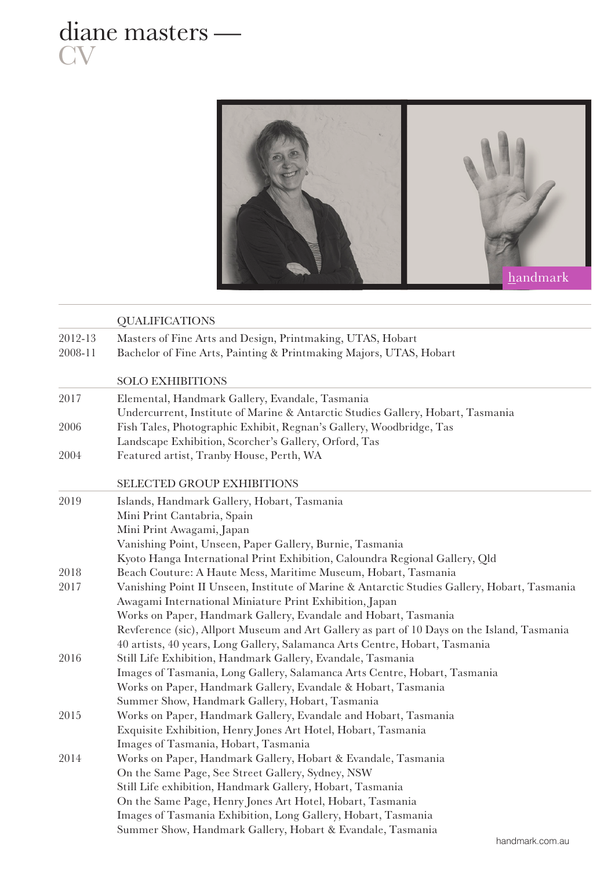



|         | <b>QUALIFICATIONS</b>                                                                        |
|---------|----------------------------------------------------------------------------------------------|
| 2012-13 | Masters of Fine Arts and Design, Printmaking, UTAS, Hobart                                   |
| 2008-11 | Bachelor of Fine Arts, Painting & Printmaking Majors, UTAS, Hobart                           |
|         |                                                                                              |
|         | <b>SOLO EXHIBITIONS</b>                                                                      |
| 2017    | Elemental, Handmark Gallery, Evandale, Tasmania                                              |
|         | Undercurrent, Institute of Marine & Antarctic Studies Gallery, Hobart, Tasmania              |
| 2006    | Fish Tales, Photographic Exhibit, Regnan's Gallery, Woodbridge, Tas                          |
|         | Landscape Exhibition, Scorcher's Gallery, Orford, Tas                                        |
| 2004    | Featured artist, Tranby House, Perth, WA                                                     |
|         | SELECTED GROUP EXHIBITIONS                                                                   |
| 2019    | Islands, Handmark Gallery, Hobart, Tasmania                                                  |
|         | Mini Print Cantabria, Spain                                                                  |
|         | Mini Print Awagami, Japan                                                                    |
|         | Vanishing Point, Unseen, Paper Gallery, Burnie, Tasmania                                     |
|         | Kyoto Hanga International Print Exhibition, Caloundra Regional Gallery, Qld                  |
| 2018    | Beach Couture: A Haute Mess, Maritime Museum, Hobart, Tasmania                               |
| 2017    | Vanishing Point II Unseen, Institute of Marine & Antarctic Studies Gallery, Hobart, Tasmania |
|         | Awagami International Miniature Print Exhibition, Japan                                      |
|         | Works on Paper, Handmark Gallery, Evandale and Hobart, Tasmania                              |
|         | Revference (sic), Allport Museum and Art Gallery as part of 10 Days on the Island, Tasmania  |
|         | 40 artists, 40 years, Long Gallery, Salamanca Arts Centre, Hobart, Tasmania                  |
| 2016    | Still Life Exhibition, Handmark Gallery, Evandale, Tasmania                                  |
|         | Images of Tasmania, Long Gallery, Salamanca Arts Centre, Hobart, Tasmania                    |
|         | Works on Paper, Handmark Gallery, Evandale & Hobart, Tasmania                                |
|         | Summer Show, Handmark Gallery, Hobart, Tasmania                                              |
| 2015    | Works on Paper, Handmark Gallery, Evandale and Hobart, Tasmania                              |
|         | Exquisite Exhibition, Henry Jones Art Hotel, Hobart, Tasmania                                |
|         | Images of Tasmania, Hobart, Tasmania                                                         |
| 2014    | Works on Paper, Handmark Gallery, Hobart & Evandale, Tasmania                                |
|         | On the Same Page, See Street Gallery, Sydney, NSW                                            |
|         | Still Life exhibition, Handmark Gallery, Hobart, Tasmania                                    |
|         | On the Same Page, Henry Jones Art Hotel, Hobart, Tasmania                                    |
|         | Images of Tasmania Exhibition, Long Gallery, Hobart, Tasmania                                |
|         | Summer Show, Handmark Gallery, Hobart & Evandale, Tasmania                                   |
|         | handmark.com.au                                                                              |